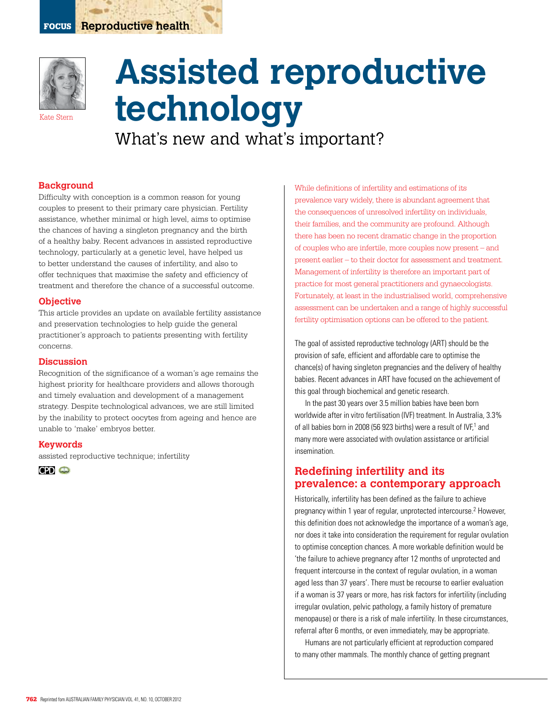

Kate Stern

# **Assisted reproductive technology**

What's new and what's important?

#### **Background**

Difficulty with conception is a common reason for young couples to present to their primary care physician. Fertility assistance, whether minimal or high level, aims to optimise the chances of having a singleton pregnancy and the birth of a healthy baby. Recent advances in assisted reproductive technology, particularly at a genetic level, have helped us to better understand the causes of infertility, and also to offer techniques that maximise the safety and efficiency of treatment and therefore the chance of a successful outcome.

#### **Objective**

This article provides an update on available fertility assistance and preservation technologies to help guide the general practitioner's approach to patients presenting with fertility concerns.

#### **Discussion**

Recognition of the significance of a woman's age remains the highest priority for healthcare providers and allows thorough and timely evaluation and development of a management strategy. Despite technological advances, we are still limited by the inability to protect oocytes from ageing and hence are unable to 'make' embryos better.

#### **Keywords**

assisted reproductive technique; infertility



While definitions of infertility and estimations of its prevalence vary widely, there is abundant agreement that the consequences of unresolved infertility on individuals, their families, and the community are profound. Although there has been no recent dramatic change in the proportion of couples who are infertile, more couples now present – and present earlier – to their doctor for assessment and treatment. Management of infertility is therefore an important part of practice for most general practitioners and gynaecologists. Fortunately, at least in the industrialised world, comprehensive assessment can be undertaken and a range of highly successful fertility optimisation options can be offered to the patient.

The goal of assisted reproductive technology (ART) should be the provision of safe, efficient and affordable care to optimise the chance(s) of having singleton pregnancies and the delivery of healthy babies. Recent advances in ART have focused on the achievement of this goal through biochemical and genetic research.

In the past 30 years over 3.5 million babies have been born worldwide after in vitro fertilisation (IVF) treatment. In Australia, 3.3% of all babies born in 2008 (56 923 births) were a result of IVF,<sup>1</sup> and many more were associated with ovulation assistance or artificial insemination.

# **Redefining infertility and its prevalence: a contemporary approach**

Historically, infertility has been defined as the failure to achieve pregnancy within 1 year of regular, unprotected intercourse.<sup>2</sup> However, this definition does not acknowledge the importance of a woman's age, nor does it take into consideration the requirement for regular ovulation to optimise conception chances. A more workable definition would be 'the failure to achieve pregnancy after 12 months of unprotected and frequent intercourse in the context of regular ovulation, in a woman aged less than 37 years'. There must be recourse to earlier evaluation if a woman is 37 years or more, has risk factors for infertility (including irregular ovulation, pelvic pathology, a family history of premature menopause) or there is a risk of male infertility. In these circumstances, referral after 6 months, or even immediately, may be appropriate.

Humans are not particularly efficient at reproduction compared to many other mammals. The monthly chance of getting pregnant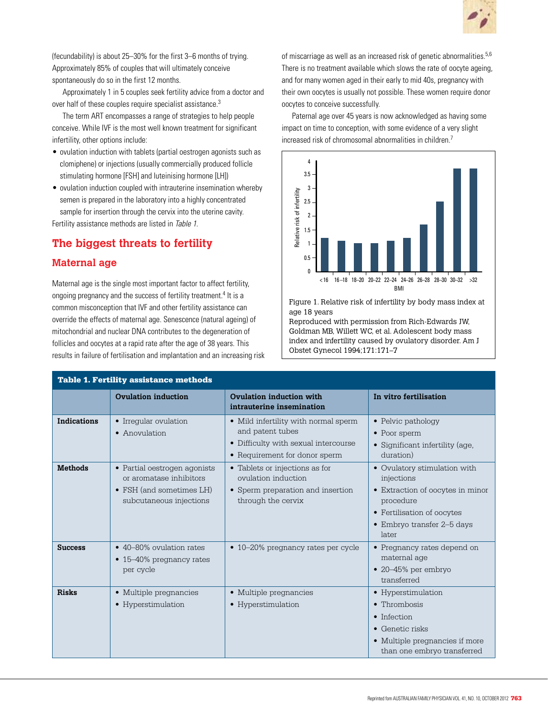

(fecundability) is about 25–30% for the first 3–6 months of trying. Approximately 85% of couples that will ultimately conceive spontaneously do so in the first 12 months.

Approximately 1 in 5 couples seek fertility advice from a doctor and over half of these couples require specialist assistance.3

The term ART encompasses a range of strategies to help people conceive. While IVF is the most well known treatment for significant infertility, other options include:

- ovulation induction with tablets (partial oestrogen agonists such as clomiphene) or injections (usually commercially produced follicle stimulating hormone [FSH] and luteinising hormone [LH])
- ovulation induction coupled with intrauterine insemination whereby semen is prepared in the laboratory into a highly concentrated sample for insertion through the cervix into the uterine cavity. Fertility assistance methods are listed in Table 1.

# **The biggest threats to fertility**

# **Maternal age**

Maternal age is the single most important factor to affect fertility, ongoing pregnancy and the success of fertility treatment.<sup>4</sup> It is a common misconception that IVF and other fertility assistance can override the effects of maternal age. Senescence (natural ageing) of mitochondrial and nuclear DNA contributes to the degeneration of follicles and oocytes at a rapid rate after the age of 38 years. This results in failure of fertilisation and implantation and an increasing risk of miscarriage as well as an increased risk of genetic abnormalities.<sup>5,6</sup> There is no treatment available which slows the rate of oocyte ageing, and for many women aged in their early to mid 40s, pregnancy with their own oocytes is usually not possible. These women require donor oocytes to conceive successfully.

Paternal age over 45 years is now acknowledged as having some impact on time to conception, with some evidence of a very slight increased risk of chromosomal abnormalities in children.7



Figure 1. Relative risk of infertility by body mass index at age 18 years

Reproduced with permission from Rich-Edwards JW, Goldman MB, Willett WC, et al. Adolescent body mass index and infertility caused by ovulatory disorder. Am J Obstet Gynecol 1994;171:171–7

| <b>Table 1. Fertility assistance methods</b> |                                                                                                                |                                                                                                                                   |                                                                                                                                                                  |
|----------------------------------------------|----------------------------------------------------------------------------------------------------------------|-----------------------------------------------------------------------------------------------------------------------------------|------------------------------------------------------------------------------------------------------------------------------------------------------------------|
|                                              | <b>Ovulation induction</b>                                                                                     | Ovulation induction with<br>intrauterine insemination                                                                             | In vitro fertilisation                                                                                                                                           |
| <b>Indications</b>                           | • Irregular ovulation<br>• Anovulation                                                                         | • Mild infertility with normal sperm<br>and patent tubes<br>• Difficulty with sexual intercourse<br>• Requirement for donor sperm | • Pelvic pathology<br>• Poor sperm<br>• Significant infertility (age,<br>duration)                                                                               |
| <b>Methods</b>                               | • Partial oestrogen agonists<br>or aromatase inhibitors<br>• FSH (and sometimes LH)<br>subcutaneous injections | • Tablets or injections as for<br>ovulation induction<br>• Sperm preparation and insertion<br>through the cervix                  | • Ovulatory stimulation with<br>injections<br>• Extraction of oocytes in minor<br>procedure<br>• Fertilisation of oocytes<br>• Embryo transfer 2–5 days<br>later |
| <b>Success</b>                               | • 40–80% ovulation rates<br>• 15–40% pregnancy rates<br>per cycle                                              | • 10–20% pregnancy rates per cycle                                                                                                | • Pregnancy rates depend on<br>maternal age<br>$\bullet$ 20–45% per embryo<br>transferred                                                                        |
| <b>Risks</b>                                 | • Multiple pregnancies<br>• Hyperstimulation                                                                   | • Multiple pregnancies<br>• Hyperstimulation                                                                                      | • Hyperstimulation<br>• Thrombosis<br>• Infection<br>$\bullet$ Genetic risks<br>• Multiple pregnancies if more<br>than one embryo transferred                    |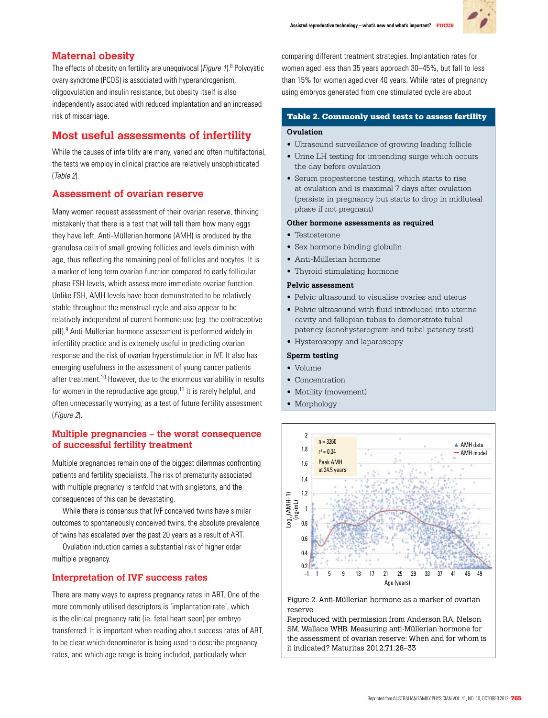

# **Maternal obesity**

The effects of obesity on fertility are unequivocal (Figure 1).<sup>8</sup> Polycystic ovary syndrome (PCOS) is associated with hyperandrogenism, oligoovulation and insulin resistance, but obesity itself is also independently associated with reduced implantation and an increased risk of miscarriage.

# **Most useful assessments of infertility**

While the causes of infertility are many, varied and often multifactorial, the tests we employ in clinical practice are relatively unsophisticated (Table 2).

# **Assessment of ovarian reserve**

Many women request assessment of their ovarian reserve, thinking mistakenly that there is a test that will tell them how many eggs they have left. Anti-Müllerian hormone (AMH) is produced by the granulosa cells of small growing follicles and levels diminish with age, thus reflecting the remaining pool of follicles and oocytes. It is a marker of long term ovarian function compared to early follicular phase FSH levels, which assess more immediate ovarian function. Unlike FSH, AMH levels have been demonstrated to be relatively stable throughout the menstrual cycle and also appear to be relatively independent of current hormone use (eg. the contraceptive pill).<sup>9</sup> Anti-Müllerian hormone assessment is performed widely in infertility practice and is extremely useful in predicting ovarian response and the risk of ovarian hyperstimulation in IVF. It also has emerging usefulness in the assessment of young cancer patients after treatment.10 However, due to the enormous variability in results for women in the reproductive age group, $11$  it is rarely helpful, and often unnecessarily worrying, as a test of future fertility assessment (Figure 2).

# **Multiple pregnancies – the worst consequence of successful fertility treatment**

Multiple pregnancies remain one of the biggest dilemmas confronting patients and fertility specialists. The risk of prematurity associated with multiple pregnancy is tenfold that with singletons, and the consequences of this can be devastating.

While there is consensus that IVF conceived twins have similar outcomes to spontaneously conceived twins, the absolute prevalence of twins has escalated over the past 20 years as a result of ART.

Ovulation induction carries a substantial risk of higher order multiple pregnancy.

# **Interpretation of IVF success rates**

There are many ways to express pregnancy rates in ART. One of the more commonly utilised descriptors is 'implantation rate', which is the clinical pregnancy rate (ie. fetal heart seen) per embryo transferred. It is important when reading about success rates of ART, to be clear which denominator is being used to describe pregnancy rates, and which age range is being included, particularly when

comparing different treatment strategies. Implantation rates for women aged less than 35 years approach 30–45%, but fall to less than 15% for women aged over 40 years. While rates of pregnancy using embryos generated from one stimulated cycle are about

# Table 2. Commonly used tests to assess fertility

#### **Ovulation**

- • Ultrasound surveillance of growing leading follicle
- • Urine LH testing for impending surge which occurs the day before ovulation
- • Serum progesterone testing, which starts to rise at ovulation and is maximal 7 days after ovulation (persists in pregnancy but starts to drop in midluteal phase if not pregnant)

#### **Other hormone assessments as required**

- Testosterone
- Sex hormone binding globulin
- • Anti-Müllerian hormone
- Thyroid stimulating hormone

#### **Pelvic assessment**

- Pelvic ultrasound to visualise ovaries and uterus
- Pelvic ultrasound with fluid introduced into uterine cavity and fallopian tubes to demonstrate tubal patency (sonohysterogram and tubal patency test)
- Hysteroscopy and laparoscopy

#### **Sperm testing**

- Volume
- Concentration
- Motility (movement)
- Morphology



Figure 2. Anti-Müllerian hormone as a marker of ovarian reserve

Reproduced with permission from Anderson RA, Nelson SM, Wallace WHB. Measuring anti-Müllerian hormone for the assessment of ovarian reserve: When and for whom is it indicated? Maturitas 2012;71:28–33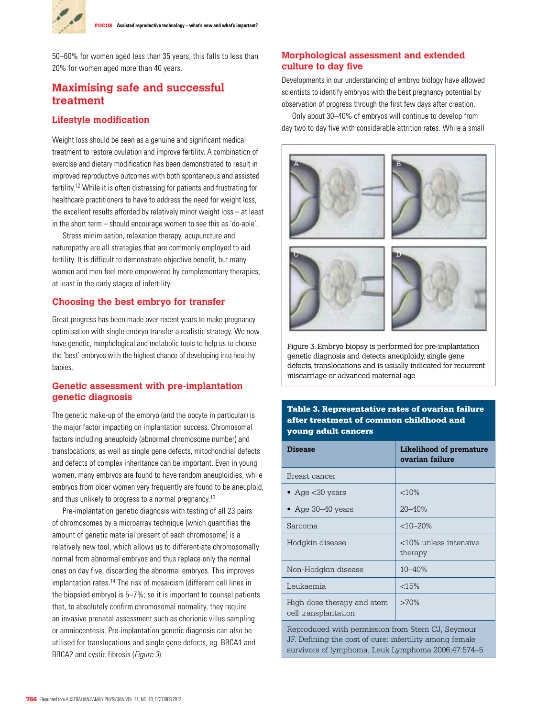

50–60% for women aged less than 35 years, this falls to less than 20% for women aged more than 40 years.

# **Maximising safe and successful treatment**

#### **Lifestyle modification**

Weight loss should be seen as a genuine and significant medical treatment to restore ovulation and improve fertility. A combination of exercise and dietary modification has been demonstrated to result in improved reproductive outcomes with both spontaneous and assisted fertility.12 While it is often distressing for patients and frustrating for healthcare practitioners to have to address the need for weight loss, the excellent results afforded by relatively minor weight loss – at least in the short term – should encourage women to see this as 'do-able'.

Stress minimisation, relaxation therapy, acupuncture and naturopathy are all strategies that are commonly employed to aid fertility. It is difficult to demonstrate objective benefit, but many women and men feel more empowered by complementary therapies, at least in the early stages of infertility.

#### **Choosing the best embryo for transfer**

Great progress has been made over recent years to make pregnancy optimisation with single embryo transfer a realistic strategy. We now have genetic, morphological and metabolic tools to help us to choose the 'best' embryos with the highest chance of developing into healthy babies.

### **Genetic assessment with pre-implantation genetic diagnosis**

The genetic make-up of the embryo (and the oocyte in particular) is the major factor impacting on implantation success. Chromosomal factors including aneuploidy (abnormal chromosome number) and translocations, as well as single gene defects, mitochondrial defects and defects of complex inheritance can be important. Even in young women, many embryos are found to have random aneuploidies, while embryos from older women very frequently are found to be aneuploid, and thus unlikely to progress to a normal pregnancy.<sup>13</sup>

Pre-implantation genetic diagnosis with testing of all 23 pairs of chromosomes by a microarray technique (which quantifies the amount of genetic material present of each chromosome) is a relatively new tool, which allows us to differentiate chromosomally normal from abnormal embryos and thus replace only the normal ones on day five, discarding the abnormal embryos. This improves implantation rates.<sup>14</sup> The risk of mosaicism (different cell lines in the biopsied embryo) is 5–7%; so it is important to counsel patients that, to absolutely confirm chromosomal normality, they require an invasive prenatal assessment such as chorionic villus sampling or amniocentesis. Pre-implantation genetic diagnosis can also be utilised for translocations and single gene defects, eg. BRCA1 and BRCA2 and cystic fibrosis (Figure 3).

# **Morphological assessment and extended culture to day five**

Developments in our understanding of embryo biology have allowed scientists to identify embryos with the best pregnancy potential by observation of progress through the first few days after creation.

Only about 30–40% of embryos will continue to develop from day two to day five with considerable attrition rates. While a small



Figure 3. Embryo biopsy is performed for pre-implantation genetic diagnosis and detects aneuploidy, single gene defects, translocations and is usually indicated for recurrent miscarriage or advanced maternal age

#### Table 3. Representative rates of ovarian failure after treatment of common childhood and young adult cancers

| Disease                                                                                                                                                            | Likelihood of premature<br>ovarian failure |  |
|--------------------------------------------------------------------------------------------------------------------------------------------------------------------|--------------------------------------------|--|
| Breast cancer                                                                                                                                                      |                                            |  |
| • Age $<$ 30 years                                                                                                                                                 | < 10%                                      |  |
| • Age $30-40$ years                                                                                                                                                | $20 - 40%$                                 |  |
| Sarcoma                                                                                                                                                            | $<10-20\%$                                 |  |
| Hodgkin disease                                                                                                                                                    | <10% unless intensive<br>therapy           |  |
| Non-Hodgkin disease                                                                                                                                                | $10 - 40%$                                 |  |
| Leukaemia                                                                                                                                                          | < 15%                                      |  |
| High dose therapy and stem<br>cell transplantation                                                                                                                 | >70%                                       |  |
| Reproduced with permission from Stern CJ, Seymour<br>JF. Defining the cost of cure: infertility among female<br>survivors of lymphoma. Leuk Lymphoma 2006;47:574–5 |                                            |  |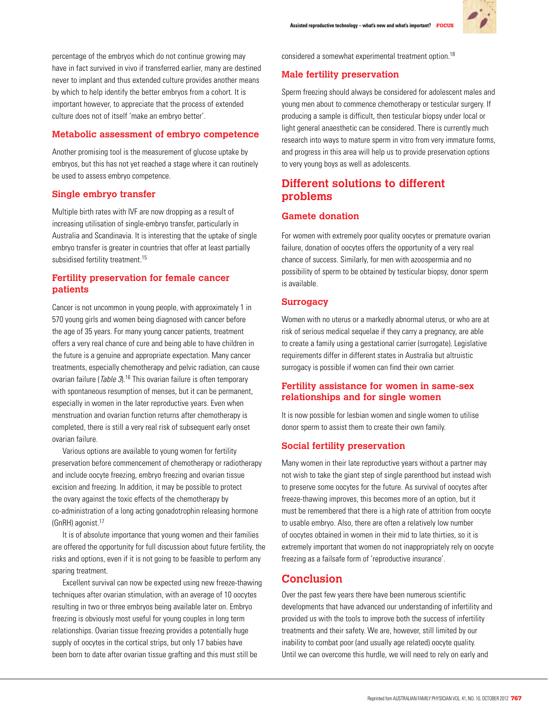

percentage of the embryos which do not continue growing may have in fact survived in vivo if transferred earlier, many are destined never to implant and thus extended culture provides another means by which to help identify the better embryos from a cohort. It is important however, to appreciate that the process of extended culture does not of itself 'make an embryo better'.

## **Metabolic assessment of embryo competence**

Another promising tool is the measurement of glucose uptake by embryos, but this has not yet reached a stage where it can routinely be used to assess embryo competence.

## **Single embryo transfer**

Multiple birth rates with IVF are now dropping as a result of increasing utilisation of single-embryo transfer, particularly in Australia and Scandinavia. It is interesting that the uptake of single embryo transfer is greater in countries that offer at least partially subsidised fertility treatment.<sup>15</sup>

# **Fertility preservation for female cancer patients**

Cancer is not uncommon in young people, with approximately 1 in 570 young girls and women being diagnosed with cancer before the age of 35 years. For many young cancer patients, treatment offers a very real chance of cure and being able to have children in the future is a genuine and appropriate expectation. Many cancer treatments, especially chemotherapy and pelvic radiation, can cause ovarian failure (*Table 3*).<sup>16</sup> This ovarian failure is often temporary with spontaneous resumption of menses, but it can be permanent, especially in women in the later reproductive years. Even when menstruation and ovarian function returns after chemotherapy is completed, there is still a very real risk of subsequent early onset ovarian failure.

Various options are available to young women for fertility preservation before commencement of chemotherapy or radiotherapy and include oocyte freezing, embryo freezing and ovarian tissue excision and freezing. In addition, it may be possible to protect the ovary against the toxic effects of the chemotherapy by co-administration of a long acting gonadotrophin releasing hormone (GnRH) agonist.17

It is of absolute importance that young women and their families are offered the opportunity for full discussion about future fertility, the risks and options, even if it is not going to be feasible to perform any sparing treatment.

Excellent survival can now be expected using new freeze-thawing techniques after ovarian stimulation, with an average of 10 oocytes resulting in two or three embryos being available later on. Embryo freezing is obviously most useful for young couples in long term relationships. Ovarian tissue freezing provides a potentially huge supply of oocytes in the cortical strips, but only 17 babies have been born to date after ovarian tissue grafting and this must still be

considered a somewhat experimental treatment option 18

## **Male fertility preservation**

Sperm freezing should always be considered for adolescent males and young men about to commence chemotherapy or testicular surgery. If producing a sample is difficult, then testicular biopsy under local or light general anaesthetic can be considered. There is currently much research into ways to mature sperm in vitro from very immature forms, and progress in this area will help us to provide preservation options to very young boys as well as adolescents.

# **Different solutions to different problems**

# **Gamete donation**

For women with extremely poor quality oocytes or premature ovarian failure, donation of oocytes offers the opportunity of a very real chance of success. Similarly, for men with azoospermia and no possibility of sperm to be obtained by testicular biopsy, donor sperm is available.

# **Surrogacy**

Women with no uterus or a markedly abnormal uterus, or who are at risk of serious medical sequelae if they carry a pregnancy, are able to create a family using a gestational carrier (surrogate). Legislative requirements differ in different states in Australia but altruistic surrogacy is possible if women can find their own carrier.

# **Fertility assistance for women in same-sex relationships and for single women**

It is now possible for lesbian women and single women to utilise donor sperm to assist them to create their own family.

# **Social fertility preservation**

Many women in their late reproductive years without a partner may not wish to take the giant step of single parenthood but instead wish to preserve some oocytes for the future. As survival of oocytes after freeze-thawing improves, this becomes more of an option, but it must be remembered that there is a high rate of attrition from oocyte to usable embryo. Also, there are often a relatively low number of oocytes obtained in women in their mid to late thirties, so it is extremely important that women do not inappropriately rely on oocyte freezing as a failsafe form of 'reproductive insurance'.

# **Conclusion**

Over the past few years there have been numerous scientific developments that have advanced our understanding of infertility and provided us with the tools to improve both the success of infertility treatments and their safety. We are, however, still limited by our inability to combat poor (and usually age related) oocyte quality. Until we can overcome this hurdle, we will need to rely on early and